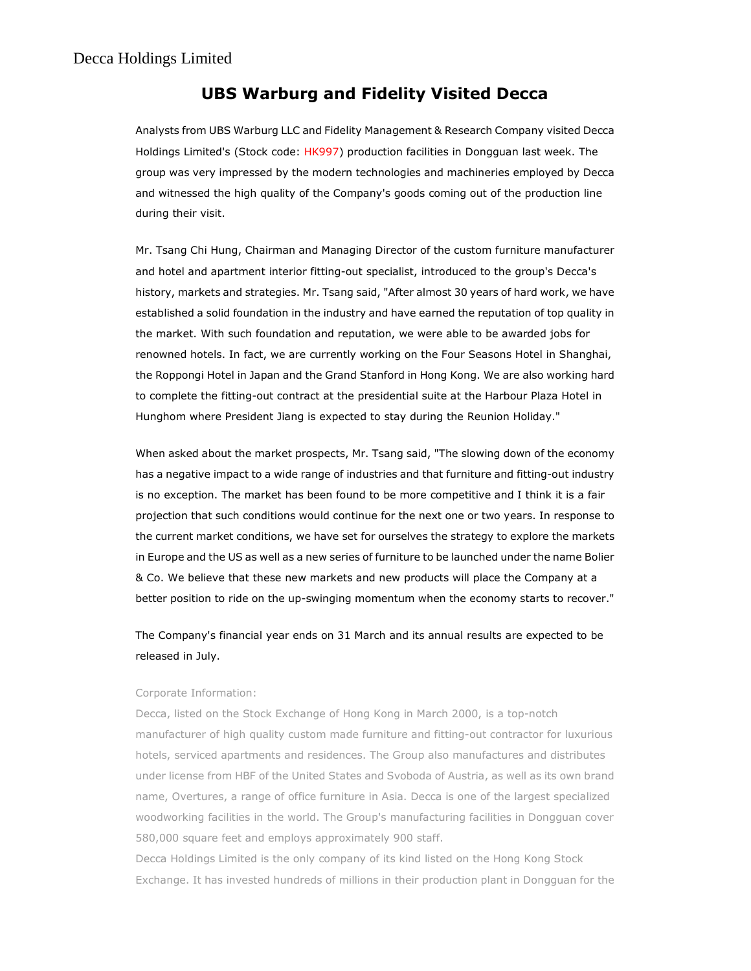## UBS Warburg and Fidelity Visited Decca

Analysts from UBS Warburg LLC and Fidelity Management & Research Company visited Decca Holdings Limited's (Stock code: HK997) production facilities in Dongguan last week. The group was very impressed by the modern technologies and machineries employed by Decca and witnessed the high quality of the Company's goods coming out of the production line during their visit.

Mr. Tsang Chi Hung, Chairman and Managing Director of the custom furniture manufacturer and hotel and apartment interior fitting-out specialist, introduced to the group's Decca's history, markets and strategies. Mr. Tsang said, "After almost 30 years of hard work, we have established a solid foundation in the industry and have earned the reputation of top quality in the market. With such foundation and reputation, we were able to be awarded jobs for renowned hotels. In fact, we are currently working on the Four Seasons Hotel in Shanghai, the Roppongi Hotel in Japan and the Grand Stanford in Hong Kong. We are also working hard to complete the fitting-out contract at the presidential suite at the Harbour Plaza Hotel in Hunghom where President Jiang is expected to stay during the Reunion Holiday."

When asked about the market prospects, Mr. Tsang said, "The slowing down of the economy has a negative impact to a wide range of industries and that furniture and fitting-out industry is no exception. The market has been found to be more competitive and I think it is a fair projection that such conditions would continue for the next one or two years. In response to the current market conditions, we have set for ourselves the strategy to explore the markets in Europe and the US as well as a new series of furniture to be launched under the name Bolier & Co. We believe that these new markets and new products will place the Company at a better position to ride on the up-swinging momentum when the economy starts to recover."

The Company's financial year ends on 31 March and its annual results are expected to be released in July.

## Corporate Information:

Decca, listed on the Stock Exchange of Hong Kong in March 2000, is a top-notch manufacturer of high quality custom made furniture and fitting-out contractor for luxurious hotels, serviced apartments and residences. The Group also manufactures and distributes under license from HBF of the United States and Svoboda of Austria, as well as its own brand name, Overtures, a range of office furniture in Asia. Decca is one of the largest specialized woodworking facilities in the world. The Group's manufacturing facilities in Dongguan cover 580,000 square feet and employs approximately 900 staff.

Decca Holdings Limited is the only company of its kind listed on the Hong Kong Stock Exchange. It has invested hundreds of millions in their production plant in Dongguan for the